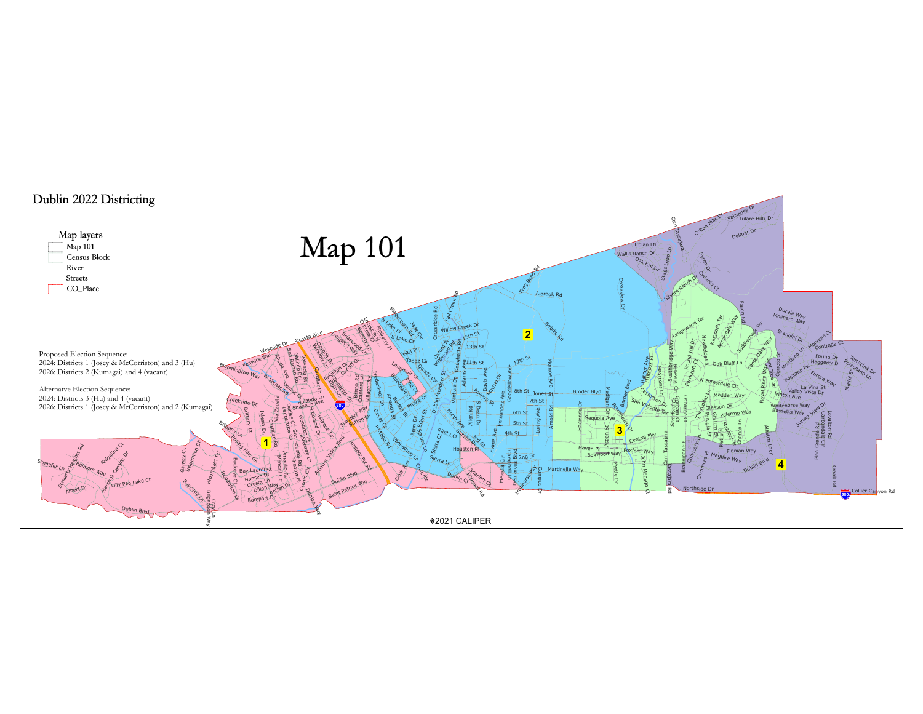